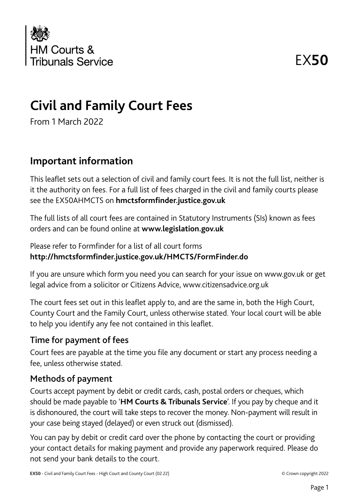

# EX**50**

# **Civil and Family Court Fees**

From 1 March 2022

## **Important information**

This leaflet sets out a selection of civil and family court fees. It is not the full list, neither is it the authority on fees. For a full list of fees charged in the civil and family courts please see the EX50AHMCTS on **hmctsformfinder.justice.gov.uk**

The full lists of all court fees are contained in Statutory Instruments (SIs) known as fees orders and can be found online at **www.legislation.gov.uk**

#### Please refer to Formfinder for a list of all court forms **http://hmctsformfinder.justice.gov.uk/HMCTS/FormFinder.do**

If you are unsure which form you need you can search for your issue on www.gov.uk or get legal advice from a solicitor or Citizens Advice, www.citizensadvice.org.uk

The court fees set out in this leaflet apply to, and are the same in, both the High Court, County Court and the Family Court, unless otherwise stated. Your local court will be able to help you identify any fee not contained in this leaflet.

### Time for payment of fees

Court fees are payable at the time you file any document or start any process needing a fee, unless otherwise stated.

## Methods of payment

Courts accept payment by debit or credit cards, cash, postal orders or cheques, which should be made payable to '**HM Courts & Tribunals Service**'. If you pay by cheque and it is dishonoured, the court will take steps to recover the money. Non-payment will result in your case being stayed (delayed) or even struck out (dismissed).

You can pay by debit or credit card over the phone by contacting the court or providing your contact details for making payment and provide any paperwork required. Please do not send your bank details to the court.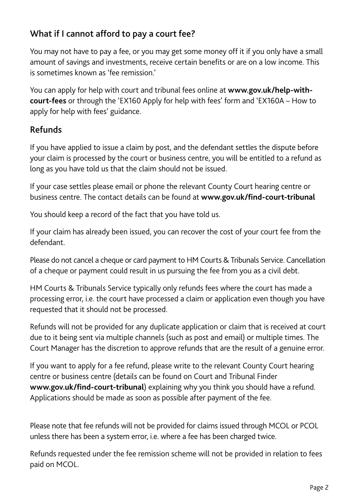## What if I cannot afford to pay a court fee?

You may not have to pay a fee, or you may get some money off it if you only have a small amount of savings and investments, receive certain benefits or are on a low income. This is sometimes known as 'fee remission.'

You can apply for help with court and tribunal fees online at **www.gov.uk/help-withcourt-fees** or through the 'EX160 Apply for help with fees' form and 'EX160A – How to apply for help with fees' guidance.

#### Refunds

If you have applied to issue a claim by post, and the defendant settles the dispute before your claim is processed by the court or business centre, you will be entitled to a refund as long as you have told us that the claim should not be issued.

If your case settles please email or phone the relevant County Court hearing centre or business centre. The contact details can be found at **www.gov.uk/find-court-tribunal**

You should keep a record of the fact that you have told us.

If your claim has already been issued, you can recover the cost of your court fee from the defendant.

Please do not cancel a cheque or card payment to HM Courts & Tribunals Service. Cancellation of a cheque or payment could result in us pursuing the fee from you as a civil debt.

HM Courts & Tribunals Service typically only refunds fees where the court has made a processing error, i.e. the court have processed a claim or application even though you have requested that it should not be processed.

Refunds will not be provided for any duplicate application or claim that is received at court due to it being sent via multiple channels (such as post and email) or multiple times. The Court Manager has the discretion to approve refunds that are the result of a genuine error.

If you want to apply for a fee refund, please write to the relevant County Court hearing centre or business centre (details can be found on Court and Tribunal Finder **www.gov.uk/find-court-tribunal**) explaining why you think you should have a refund. Applications should be made as soon as possible after payment of the fee.

Please note that fee refunds will not be provided for claims issued through MCOL or PCOL unless there has been a system error, i.e. where a fee has been charged twice.

Refunds requested under the fee remission scheme will not be provided in relation to fees paid on MCOL.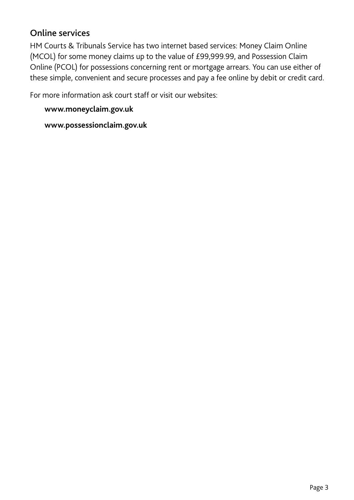### Online services

HM Courts & Tribunals Service has two internet based services: Money Claim Online (MCOL) for some money claims up to the value of £99,999.99, and Possession Claim Online (PCOL) for possessions concerning rent or mortgage arrears. You can use either of these simple, convenient and secure processes and pay a fee online by debit or credit card.

For more information ask court staff or visit our websites:

**www.moneyclaim.gov.uk**

**www.possessionclaim.gov.uk**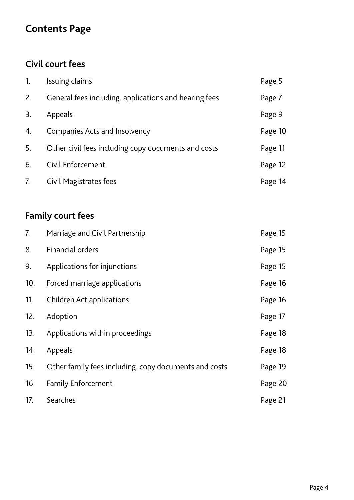## **Contents Page**

## **Civil court fees**

| 1.               | Issuing claims                                        | Page 5  |
|------------------|-------------------------------------------------------|---------|
| 2.               | General fees including. applications and hearing fees | Page 7  |
| 3.               | Appeals                                               | Page 9  |
| $\overline{4}$ . | Companies Acts and Insolvency                         | Page 10 |
| 5.               | Other civil fees including copy documents and costs   | Page 11 |
| 6.               | Civil Enforcement                                     | Page 12 |
| 7.               | Civil Magistrates fees                                | Page 14 |

## **Family court fees**

| 7.  | Marriage and Civil Partnership                        | Page 15 |
|-----|-------------------------------------------------------|---------|
| 8.  | <b>Financial orders</b>                               | Page 15 |
| 9.  | Applications for injunctions                          | Page 15 |
| 10. | Forced marriage applications                          | Page 16 |
| 11. | <b>Children Act applications</b>                      | Page 16 |
| 12. | Adoption                                              | Page 17 |
| 13. | Applications within proceedings                       | Page 18 |
| 14. | Appeals                                               | Page 18 |
| 15. | Other family fees including. copy documents and costs | Page 19 |
| 16. | <b>Family Enforcement</b>                             | Page 20 |
| 17. | Searches                                              | Page 21 |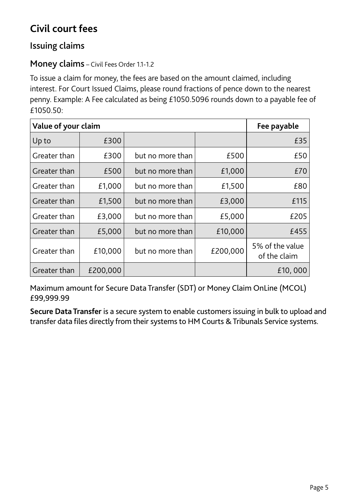## **Civil court fees**

## Issuing claims

#### Money claims – Civil Fees Order 1.1-1.2

To issue a claim for money, the fees are based on the amount claimed, including interest. For Court Issued Claims, please round fractions of pence down to the nearest penny. Example: A Fee calculated as being £1050.5096 rounds down to a payable fee of £1050.50:

| Value of your claim | Fee payable |                  |          |                                 |
|---------------------|-------------|------------------|----------|---------------------------------|
| Up to               | £300        |                  |          | £35                             |
| Greater than        | £300        | but no more than | £500     | £50                             |
| Greater than        | £500        | but no more than | £1,000   | £70                             |
| Greater than        | £1,000      | but no more than | £1,500   | £80                             |
| Greater than        | £1,500      | but no more than | £3,000   | £115                            |
| Greater than        | £3,000      | but no more than | £5,000   | £205                            |
| Greater than        | £5,000      | but no more than | £10,000  | £455                            |
| Greater than        | £10,000     | but no more than | £200,000 | 5% of the value<br>of the claim |
| Greater than        | £200,000    |                  |          | £10,000                         |

Maximum amount for Secure Data Transfer (SDT) or Money Claim OnLine (MCOL) £99,999.99

**Secure Data Transfer** is a secure system to enable customers issuing in bulk to upload and transfer data files directly from their systems to HM Courts & Tribunals Service systems.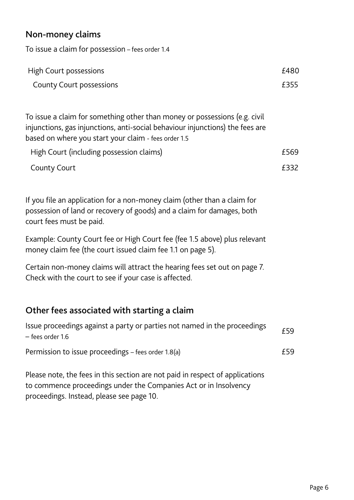#### Non-money claims

To issue a claim for possession – fees order 1.4

| High Court possessions                                                                                                                                                                                              | £480 |
|---------------------------------------------------------------------------------------------------------------------------------------------------------------------------------------------------------------------|------|
| <b>County Court possessions</b>                                                                                                                                                                                     | £355 |
|                                                                                                                                                                                                                     |      |
| To issue a claim for something other than money or possessions (e.g. civil<br>injunctions, gas injunctions, anti-social behaviour injunctions) the fees are<br>based on where you start your claim - fees order 1.5 |      |
| High Court (including possession claims)                                                                                                                                                                            | £569 |
| County Court                                                                                                                                                                                                        | £332 |
|                                                                                                                                                                                                                     |      |

If you file an application for a non-money claim (other than a claim for possession of land or recovery of goods) and a claim for damages, both court fees must be paid.

Example: County Court fee or High Court fee (fee 1.5 above) plus relevant money claim fee (the court issued claim fee 1.1 on page 5).

Certain non-money claims will attract the hearing fees set out on page 7. Check with the court to see if your case is affected.

#### Other fees associated with starting a claim

| Issue proceedings against a party or parties not named in the proceedings<br>– fees order 1.6 | <b>£59</b> |
|-----------------------------------------------------------------------------------------------|------------|
| Permission to issue proceedings – fees order 1.8(a)                                           | £59        |

Please note, the fees in this section are not paid in respect of applications to commence proceedings under the Companies Act or in Insolvency proceedings. Instead, please see page 10.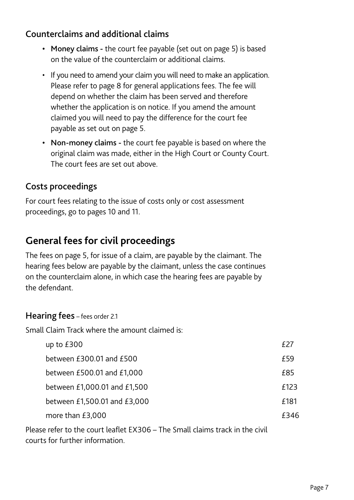### Counterclaims and additional claims

- Money claims the court fee payable (set out on page 5) is based on the value of the counterclaim or additional claims.
- If you need to amend your claim you will need to make an application. Please refer to page 8 for general applications fees. The fee will depend on whether the claim has been served and therefore whether the application is on notice. If you amend the amount claimed you will need to pay the difference for the court fee payable as set out on page 5.
- Non-money claims the court fee payable is based on where the original claim was made, either in the High Court or County Court. The court fees are set out above.

## Costs proceedings

For court fees relating to the issue of costs only or cost assessment proceedings, go to pages 10 and 11.

## **General fees for civil proceedings**

The fees on page 5, for issue of a claim, are payable by the claimant. The hearing fees below are payable by the claimant, unless the case continues on the counterclaim alone, in which case the hearing fees are payable by the defendant.

#### Hearing fees – fees order 2.1

Small Claim Track where the amount claimed is:

| up to $£300$                     | £27  |
|----------------------------------|------|
| between $£300.01$ and $£500$     | £59  |
| between $E$ 500.01 and $E$ 1,000 | £85  |
| between £1,000.01 and £1,500     | £123 |
| between £1,500.01 and £3,000     | £181 |
| more than £3,000                 | £346 |

Please refer to the court leaflet EX306 – The Small claims track in the civil courts for further information.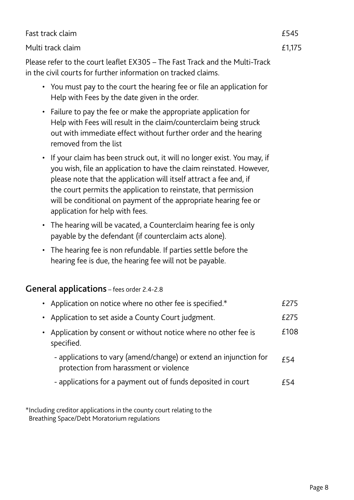## Fast track claim **E545**

#### Multi track claim £1,175

Please refer to the court leaflet EX305 – The Fast Track and the Multi-Track in the civil courts for further information on tracked claims.

- You must pay to the court the hearing fee or file an application for Help with Fees by the date given in the order.
- Failure to pay the fee or make the appropriate application for Help with Fees will result in the claim/counterclaim being struck out with immediate effect without further order and the hearing removed from the list
- If your claim has been struck out, it will no longer exist. You may, if you wish, file an application to have the claim reinstated. However, please note that the application will itself attract a fee and, if the court permits the application to reinstate, that permission will be conditional on payment of the appropriate hearing fee or application for help with fees.
- The hearing will be vacated, a Counterclaim hearing fee is only payable by the defendant (if counterclaim acts alone).
- The hearing fee is non refundable. If parties settle before the hearing fee is due, the hearing fee will not be payable.

#### General applications – fees order 2.4-2.8

| • Application on notice where no other fee is specified.*                                                   | £275 |
|-------------------------------------------------------------------------------------------------------------|------|
| • Application to set aside a County Court judgment.                                                         | £275 |
| • Application by consent or without notice where no other fee is<br>specified.                              | £108 |
| - applications to vary (amend/change) or extend an injunction for<br>protection from harassment or violence | f54  |
| - applications for a payment out of funds deposited in court                                                | £54  |

\*Including creditor applications in the county court relating to the Breathing Space/Debt Moratorium regulations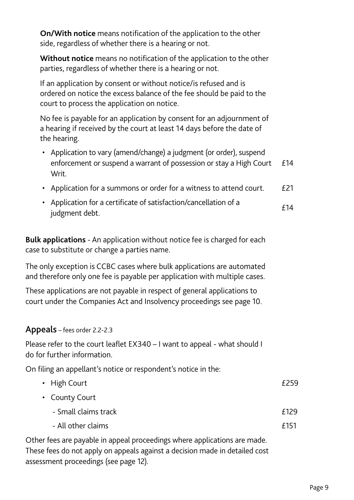**On/With notice** means notification of the application to the other side, regardless of whether there is a hearing or not.

**Without notice** means no notification of the application to the other parties, regardless of whether there is a hearing or not.

If an application by consent or without notice/is refused and is ordered on notice the excess balance of the fee should be paid to the court to process the application on notice.

No fee is payable for an application by consent for an adjournment of a hearing if received by the court at least 14 days before the date of the hearing.

- Application to vary (amend/change) a judgment (or order), suspend enforcement or suspend a warrant of possession or stay a High Court Writ. £14
- Application for a summons or order for a witness to attend court.  $£21$
- Application for a certificate of satisfaction/cancellation of a rippited to the certificate of satisfaction, cancellation of a<br>judgment debt.

**Bulk applications** - An application without notice fee is charged for each case to substitute or change a parties name.

The only exception is CCBC cases where bulk applications are automated and therefore only one fee is payable per application with multiple cases.

These applications are not payable in respect of general applications to court under the Companies Act and Insolvency proceedings see page 10.

#### Appeals – fees order 2.2-2.3

Please refer to the court leaflet EX340 – I want to appeal - what should I do for further information.

On filing an appellant's notice or respondent's notice in the:

| • High Court         | £259 |
|----------------------|------|
| • County Court       |      |
| - Small claims track | £129 |
| - All other claims   | £151 |
| $\blacksquare$       |      |

Other fees are payable in appeal proceedings where applications are made. These fees do not apply on appeals against a decision made in detailed cost assessment proceedings (see page 12).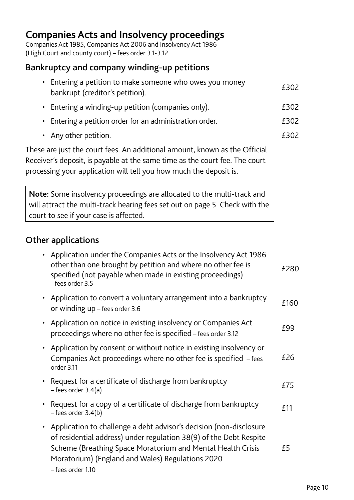## **Companies Acts and Insolvency proceedings**

Companies Act 1985, Companies Act 2006 and Insolvency Act 1986 (High Court and county court) – fees order 3.1-3.12

### Bankruptcy and company winding-up petitions

| • Entering a petition to make someone who owes you money<br>bankrupt (creditor's petition). | £302 |
|---------------------------------------------------------------------------------------------|------|
| • Entering a winding-up petition (companies only).                                          | £302 |
| • Entering a petition order for an administration order.                                    | £302 |
| • Any other petition.                                                                       | F302 |

These are just the court fees. An additional amount, known as the Official Receiver's deposit, is payable at the same time as the court fee. The court processing your application will tell you how much the deposit is.

**Note:** Some insolvency proceedings are allocated to the multi-track and will attract the multi-track hearing fees set out on page 5. Check with the court to see if your case is affected.

#### Other applications

| Application under the Companies Acts or the Insolvency Act 1986<br>other than one brought by petition and where no other fee is<br>specified (not payable when made in existing proceedings)<br>- fees order 3.5                                                                   | £280 |
|------------------------------------------------------------------------------------------------------------------------------------------------------------------------------------------------------------------------------------------------------------------------------------|------|
| • Application to convert a voluntary arrangement into a bankruptcy<br>or winding $up$ – fees order 3.6                                                                                                                                                                             | £160 |
| • Application on notice in existing insolvency or Companies Act<br>proceedings where no other fee is specified - fees order 3.12                                                                                                                                                   | £99  |
| • Application by consent or without notice in existing insolvency or<br>Companies Act proceedings where no other fee is specified - fees<br>order 3.11                                                                                                                             | £26  |
| • Request for a certificate of discharge from bankruptcy<br>$-$ fees order 3.4(a)                                                                                                                                                                                                  | £75  |
| Request for a copy of a certificate of discharge from bankruptcy<br>$-$ fees order 3.4(b)                                                                                                                                                                                          | £11  |
| • Application to challenge a debt advisor's decision (non-disclosure<br>of residential address) under regulation 38(9) of the Debt Respite<br>Scheme (Breathing Space Moratorium and Mental Health Crisis<br>Moratorium) (England and Wales) Regulations 2020<br>- fees order 1.10 | £5   |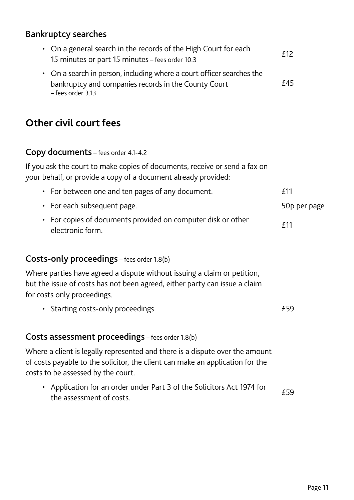#### Bankruptcy searches

| • On a general search in the records of the High Court for each<br>15 minutes or part 15 minutes - fees order 10.3                                   | <b>f</b> 12 |
|------------------------------------------------------------------------------------------------------------------------------------------------------|-------------|
| • On a search in person, including where a court officer searches the<br>bankruptcy and companies records in the County Court<br>$-$ fees order 3.13 | £45         |

## **Other civil court fees**

#### Copy documents – fees order 4.1-4.2

If you ask the court to make copies of documents, receive or send a fax on your behalf, or provide a copy of a document already provided:

| • For between one and ten pages of any document. | f 11         |
|--------------------------------------------------|--------------|
| • For each subsequent page.                      | 50p per page |
|                                                  |              |

• For copies of documents provided on computer disk or other electronic form. E11

#### Costs-only proceedings – fees order 1.8(b)

Where parties have agreed a dispute without issuing a claim or petition, but the issue of costs has not been agreed, either party can issue a claim for costs only proceedings.

• Starting costs-only proceedings. £59

#### Costs assessment proceedings – fees order 1.8(b)

Where a client is legally represented and there is a dispute over the amount of costs payable to the solicitor, the client can make an application for the costs to be assessed by the court.

• Application for an order under Part 3 of the Solicitors Act 1974 for repredention for an order and entitled on the solidition side  $f59$ <br>the assessment of costs.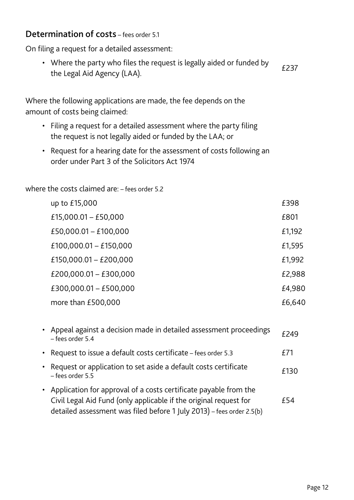#### Determination of costs – fees order 5.1

On filing a request for a detailed assessment:

• Where the party who files the request is legally aided or funded by The Legal Aid Agency (LAA).

Where the following applications are made, the fee depends on the amount of costs being claimed:

- Filing a request for a detailed assessment where the party filing the request is not legally aided or funded by the LAA; or
- Request for a hearing date for the assessment of costs following an order under Part 3 of the Solicitors Act 1974

where the costs claimed are: – fees order 5.2

| up to £15,000          | £398   |
|------------------------|--------|
| £15,000.01 – £50,000   | £801   |
| £50,000.01 - £100,000  | £1,192 |
| £100,000.01 – £150,000 | £1,595 |
| £150,000.01 - £200,000 | £1,992 |
| £200,000.01 - £300,000 | £2,988 |
| £300,000.01 - £500,000 | £4,980 |
| more than $£500,000$   | £6,640 |

| • Appeal against a decision made in detailed assessment proceedings<br>- fees order 5.4                                                                                                                          | £249 |
|------------------------------------------------------------------------------------------------------------------------------------------------------------------------------------------------------------------|------|
| • Request to issue a default costs certificate - fees order 5.3                                                                                                                                                  | £71  |
| • Request or application to set aside a default costs certificate<br>- fees order 5.5                                                                                                                            | £130 |
| • Application for approval of a costs certificate payable from the<br>Civil Legal Aid Fund (only applicable if the original request for<br>detailed assessment was filed before 1 July 2013) - fees order 2.5(b) | £54  |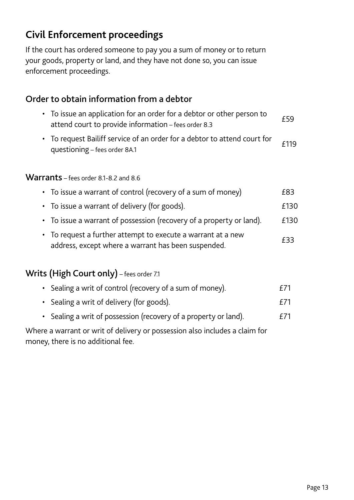## **Civil Enforcement proceedings**

If the court has ordered someone to pay you a sum of money or to return your goods, property or land, and they have not done so, you can issue enforcement proceedings.

#### Order to obtain information from a debtor

| • To issue an application for an order for a debtor or other person to | £59 |
|------------------------------------------------------------------------|-----|
| attend court to provide information – fees order 8.3                   |     |

• To request Bailiff service of an order for a debtor to attend court for questioning – fees order 8A.1 £119

#### Warrants – fees order 8.1-8.2 and 8.6

|  |  | • To issue a warrant of control (recovery of a sum of money) | £83 |
|--|--|--------------------------------------------------------------|-----|
|--|--|--------------------------------------------------------------|-----|

- To issue a warrant of delivery (for goods). The same state of the state of the state of the state of the state of the state of the state of the state of the state of the state of the state of the state of the state of th
- To issue a warrant of possession (recovery of a property or land). E130
- To request a further attempt to execute a warrant at a new address, except where a warrant has been suspended.

#### Writs (High Court only) - fees order 7.1

| • Sealing a writ of control (recovery of a sum of money).                                                  | £71 |
|------------------------------------------------------------------------------------------------------------|-----|
| • Sealing a writ of delivery (for goods).                                                                  | £71 |
| $\sigma$ . It is a set of a set of $\sigma$ is a set of $\sigma$ is a set of $\sigma$ is a set of $\sigma$ | -71 |

• Sealing a writ of possession (recovery of a property or land).  $E71$ 

Where a warrant or writ of delivery or possession also includes a claim for money, there is no additional fee.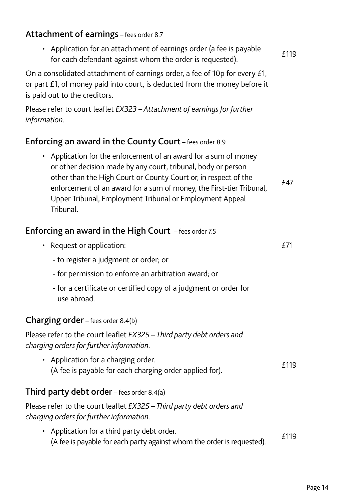## Attachment of earnings - fees order 8.7

| • Application for an attachment of earnings order (a fee is payable<br>for each defendant against whom the order is requested).                                                                                                                                                                                                                       | £119 |
|-------------------------------------------------------------------------------------------------------------------------------------------------------------------------------------------------------------------------------------------------------------------------------------------------------------------------------------------------------|------|
| On a consolidated attachment of earnings order, a fee of 10p for every £1,<br>or part £1, of money paid into court, is deducted from the money before it<br>is paid out to the creditors.                                                                                                                                                             |      |
| Please refer to court leaflet EX323 - Attachment of earnings for further<br>information.                                                                                                                                                                                                                                                              |      |
| <b>Enforcing an award in the County Court</b> – fees order 8.9                                                                                                                                                                                                                                                                                        |      |
| • Application for the enforcement of an award for a sum of money<br>or other decision made by any court, tribunal, body or person<br>other than the High Court or County Court or, in respect of the<br>enforcement of an award for a sum of money, the First-tier Tribunal,<br>Upper Tribunal, Employment Tribunal or Employment Appeal<br>Tribunal. | £47  |
| Enforcing an award in the High Court - fees order 7.5                                                                                                                                                                                                                                                                                                 |      |
| • Request or application:                                                                                                                                                                                                                                                                                                                             | £71  |
| - to register a judgment or order; or                                                                                                                                                                                                                                                                                                                 |      |
| - for permission to enforce an arbitration award; or                                                                                                                                                                                                                                                                                                  |      |
| - for a certificate or certified copy of a judgment or order for<br>use abroad.                                                                                                                                                                                                                                                                       |      |
| <b>Charging order</b> – fees order 8.4(b)                                                                                                                                                                                                                                                                                                             |      |
| Please refer to the court leaflet EX325 - Third party debt orders and<br>charging orders for further information.                                                                                                                                                                                                                                     |      |
| • Application for a charging order.<br>(A fee is payable for each charging order applied for).                                                                                                                                                                                                                                                        | £119 |
| <b>Third party debt order</b> – fees order 8.4(a)                                                                                                                                                                                                                                                                                                     |      |
| Please refer to the court leaflet EX325 – Third party debt orders and<br>charging orders for further information.                                                                                                                                                                                                                                     |      |
| • Application for a third party debt order.<br>(A fee is payable for each party against whom the order is requested).                                                                                                                                                                                                                                 | £119 |
|                                                                                                                                                                                                                                                                                                                                                       |      |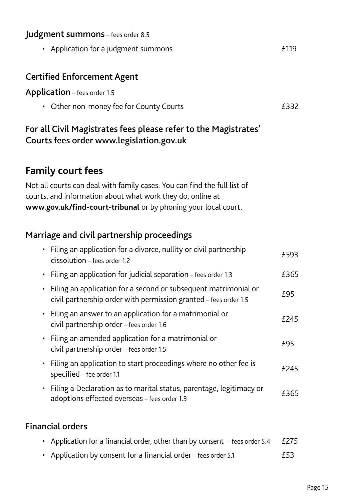#### Judgment summons – fees order 8.5

• Application for a judgment summons. £119

#### Certified Enforcement Agent

Application – fees order 1.5

• Other non-money fee for County Courts £332

#### For all Civil Magistrates fees please refer to the Magistrates' Courts fees order www.legislation.gov.uk

## **Family court fees**

Not all courts can deal with family cases. You can find the full list of courts, and information about what work they do, online at **www.gov.uk/find-court-tribunal** or by phoning your local court.

### Marriage and civil partnership proceedings

| • Filing an application for a divorce, nullity or civil partnership<br>dissolution – fees order 1.2                                   | £593        |
|---------------------------------------------------------------------------------------------------------------------------------------|-------------|
| • Filing an application for judicial separation – fees order 1.3                                                                      | £365        |
| • Filing an application for a second or subsequent matrimonial or<br>civil partnership order with permission granted - fees order 1.5 | £95         |
| • Filing an answer to an application for a matrimonial or<br>civil partnership order – fees order 1.6                                 | £245        |
| • Filing an amended application for a matrimonial or<br>civil partnership order - fees order 1.5                                      | £95         |
| • Filing an application to start proceedings where no other fee is<br>specified - fee order 1.1                                       | <b>£245</b> |
| • Filing a Declaration as to marital status, parentage, legitimacy or<br>adoptions effected overseas – fees order 1.3                 | £365        |

#### Financial orders

| • Application for a financial order, other than by consent - fees order 5.4 | £275 |
|-----------------------------------------------------------------------------|------|
| • Application by consent for a financial order – fees order 5.1             | £53  |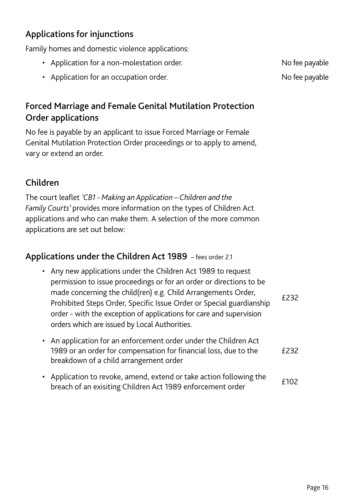## Applications for injunctions

Family homes and domestic violence applications:

- Application for a non-molestation order.  $\blacksquare$  No fee payable
- Application for an occupation order.

## Forced Marriage and Female Genital Mutilation Protection Order applications

No fee is payable by an applicant to issue Forced Marriage or Female Genital Mutilation Protection Order proceedings or to apply to amend, vary or extend an order.

#### Children

The court leaflet *'CB1 - Making an Application – Children and the Family Courts'* provides more information on the types of Children Act applications and who can make them. A selection of the more common applications are set out below:

### Applications under the Children Act 1989 – fees order 2.1

- Any new applications under the Children Act 1989 to request permission to issue proceedings or for an order or directions to be made concerning the child(ren) e.g. Child Arrangements Order, Prohibited Steps Order, Specific Issue Order or Special guardianship order - with the exception of applications for care and supervision orders which are issued by Local Authorities. £232
- An application for an enforcement order under the Children Act 1989 or an order for compensation for financial loss, due to the breakdown of a child arrangement order £232
- Application to revoke, amend, extend or take action following the breach of an existing Children Act 1989 enforcement order **E102**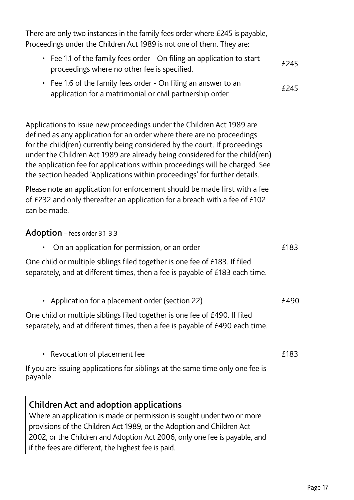There are only two instances in the family fees order where £245 is payable, Proceedings under the Children Act 1989 is not one of them. They are:

| • Fee 1.1 of the family fees order - On filing an application to start                                                   | £245 |
|--------------------------------------------------------------------------------------------------------------------------|------|
| proceedings where no other fee is specified.                                                                             |      |
| — <i>4 —</i> 6 de de de de de la de 1950 de 1950 de 1950 de 1950 de 1950 de 1950 de 1950 de 1950 de 1950 de 1950 de 1950 |      |

• Fee 1.6 of the family fees order - On filing an answer to an application for a matrimonial or civil partnership order.

Applications to issue new proceedings under the Children Act 1989 are defined as any application for an order where there are no proceedings for the child(ren) currently being considered by the court. If proceedings under the Children Act 1989 are already being considered for the child(ren) the application fee for applications within proceedings will be charged. See the section headed 'Applications within proceedings' for further details.

Please note an application for enforcement should be made first with a fee of £232 and only thereafter an application for a breach with a fee of £102 can be made.

Adoption – fees order 3.1-3.3

| • On an application for permission, or an order |   |  |  |  | £183 |
|-------------------------------------------------|---|--|--|--|------|
|                                                 | . |  |  |  |      |

One child or multiple siblings filed together is one fee of £183. If filed separately, and at different times, then a fee is payable of £183 each time.

• Application for a placement order (section 22)  $\epsilon$  490

One child or multiple siblings filed together is one fee of £490. If filed separately, and at different times, then a fee is payable of £490 each time.

• Revocation of placement fee **EXACTE 183** 

If you are issuing applications for siblings at the same time only one fee is payable.

## Children Act and adoption applications Where an application is made or permission is sought under two or more provisions of the Children Act 1989, or the Adoption and Children Act 2002, or the Children and Adoption Act 2006, only one fee is payable, and if the fees are different, the highest fee is paid.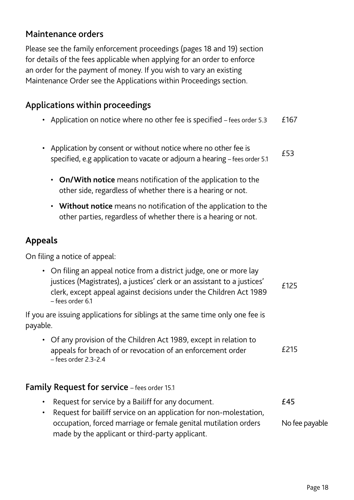#### Maintenance orders

Please see the family enforcement proceedings (pages 18 and 19) section for details of the fees applicable when applying for an order to enforce an order for the payment of money. If you wish to vary an existing Maintenance Order see the Applications within Proceedings section.

#### Applications within proceedings

- Application on notice where no other fee is specified fees order 5.3  $E167$
- Application by consent or without notice where no other fee is specified, e.g application to vacate or adjourn a hearing – fees order 5.1 £53
	- **On/With notice** means notification of the application to the other side, regardless of whether there is a hearing or not.
	- **Without notice** means no notification of the application to the other parties, regardless of whether there is a hearing or not.

#### **Appeals**

On filing a notice of appeal:

• On filing an appeal notice from a district judge, one or more lay justices (Magistrates), a justices' clerk or an assistant to a justices' clerk, except appeal against decisions under the Children Act 1989 – fees order 6.1 £125

If you are issuing applications for siblings at the same time only one fee is payable.

• Of any provision of the Children Act 1989, except in relation to appeals for breach of or revocation of an enforcement order – fees order 2.3-2.4 £215

#### Family Request for service - fees order 15.1

- Request for service by a Bailiff for any document.  $\epsilon$ 45
- Request for bailiff service on an application for non-molestation, occupation, forced marriage or female genital mutilation orders made by the applicant or third-party applicant. No fee payable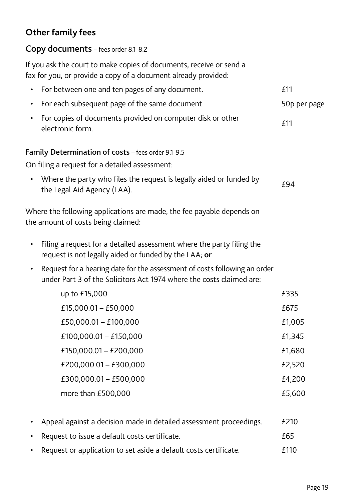## **Other family fees**

#### Copy documents – fees order 8.1-8.2

If you ask the court to make copies of documents, receive or send a fax for you, or provide a copy of a document already provided:

| For between one and ten pages of any document.<br>$\bullet$                                                                                       | £11          |
|---------------------------------------------------------------------------------------------------------------------------------------------------|--------------|
| For each subsequent page of the same document.<br>$\bullet$                                                                                       | 50p per page |
| For copies of documents provided on computer disk or other<br>electronic form.                                                                    | £11          |
| Family Determination of costs - fees order 9.1-9.5                                                                                                |              |
| On filing a request for a detailed assessment:                                                                                                    |              |
| Where the party who files the request is legally aided or funded by<br>the Legal Aid Agency (LAA).                                                | £94          |
| Where the following applications are made, the fee payable depends on<br>the amount of costs being claimed:                                       |              |
| Filing a request for a detailed assessment where the party filing the<br>$\bullet$<br>request is not legally aided or funded by the LAA; or       |              |
| Request for a hearing date for the assessment of costs following an order<br>under Part 3 of the Solicitors Act 1974 where the costs claimed are: |              |
| up to £15,000                                                                                                                                     | £335         |
| £15,000.01 – £50,000                                                                                                                              | £675         |
| $£50,000.01 - £100,000$                                                                                                                           | £1,005       |
| £100,000.01 - £150,000                                                                                                                            | £1,345       |
| £150,000.01 - £200,000                                                                                                                            | £1,680       |
| £200,000.01 - £300,000                                                                                                                            | £2,520       |
| £300,000.01 - £500,000                                                                                                                            | £4,200       |
| more than £500,000                                                                                                                                | £5,600       |
|                                                                                                                                                   |              |

| • Appeal against a decision made in detailed assessment proceedings. | £210 |
|----------------------------------------------------------------------|------|
| • Request to issue a default costs certificate.                      | £65  |
| • Request or application to set aside a default costs certificate.   | £110 |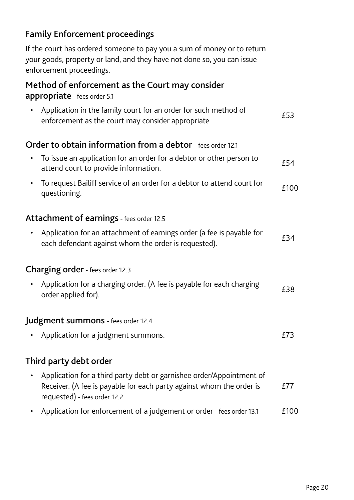#### Family Enforcement proceedings

If the court has ordered someone to pay you a sum of money or to return your goods, property or land, and they have not done so, you can issue enforcement proceedings.

## Method of enforcement as the Court may consider

#### appropriate - fees order 5.1

• Application in the family court for an order for such method of reprediction in the family court for an order for such method of E53<br>enforcement as the court may consider appropriate

#### Order to obtain information from a debtor - fees order 12.1

- To issue an application for an order for a debtor or other person to attend court to provide information.
- To request Bailiff service of an order for a debtor to attend court for ro request bann service or an order for a debtor to attend coart for  $f100$

#### Attachment of earnings - fees order 12.5

• Application for an attachment of earnings order (a fee is payable for each defendant against whom the order is requested).

#### Charging order - fees order 12.3

• Application for a charging order. (A fee is payable for each charging repredention for a charging order. (The end payable for each enarging  $E38$ 

#### Judgment summons - fees order 12.4

• Application for a judgment summons. £73

#### Third party debt order

- Application for a third party debt or garnishee order/Appointment of Receiver. (A fee is payable for each party against whom the order is requested) - fees order 12.2 £77
- Application for enforcement of a judgement or order fees order 13.1 E100